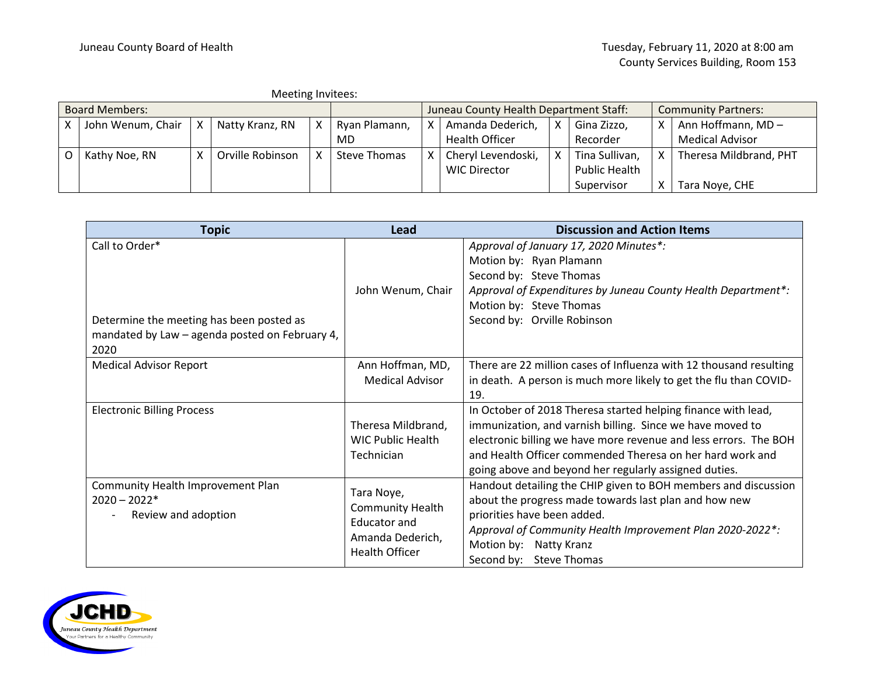|                       | Meeting Invitees: |   |                  |  |                                        |  |                     |                            |                |  |                        |
|-----------------------|-------------------|---|------------------|--|----------------------------------------|--|---------------------|----------------------------|----------------|--|------------------------|
| <b>Board Members:</b> |                   |   |                  |  | Juneau County Health Department Staff: |  |                     | <b>Community Partners:</b> |                |  |                        |
|                       | John Wenum, Chair | X | Natty Kranz, RN  |  | Ryan Plamann,                          |  | Amanda Dederich,    | x                          | Gina Zizzo,    |  | Ann Hoffmann, MD-      |
|                       |                   |   |                  |  | MD                                     |  | Health Officer      |                            | Recorder       |  | <b>Medical Advisor</b> |
|                       | Kathy Noe, RN     | x | Orville Robinson |  | Steve Thomas                           |  | Cheryl Levendoski,  | X                          | Tina Sullivan, |  | Theresa Mildbrand, PHT |
|                       |                   |   |                  |  |                                        |  | <b>WIC Director</b> |                            | Public Health  |  |                        |
|                       |                   |   |                  |  |                                        |  |                     |                            | Supervisor     |  | Tara Noye, CHE         |

| <b>Topic</b>                                                                                                         | Lead                                                                                                      | <b>Discussion and Action Items</b>                                                                                                                                                                                                                                                                                   |
|----------------------------------------------------------------------------------------------------------------------|-----------------------------------------------------------------------------------------------------------|----------------------------------------------------------------------------------------------------------------------------------------------------------------------------------------------------------------------------------------------------------------------------------------------------------------------|
| Call to Order*<br>Determine the meeting has been posted as<br>mandated by Law - agenda posted on February 4,<br>2020 | John Wenum, Chair                                                                                         | Approval of January 17, 2020 Minutes*:<br>Motion by: Ryan Plamann<br>Second by: Steve Thomas<br>Approval of Expenditures by Juneau County Health Department*:<br>Motion by: Steve Thomas<br>Second by: Orville Robinson                                                                                              |
| <b>Medical Advisor Report</b>                                                                                        | Ann Hoffman, MD,<br><b>Medical Advisor</b>                                                                | There are 22 million cases of Influenza with 12 thousand resulting<br>in death. A person is much more likely to get the flu than COVID-<br>19.                                                                                                                                                                       |
| <b>Electronic Billing Process</b>                                                                                    | Theresa Mildbrand,<br><b>WIC Public Health</b><br>Technician                                              | In October of 2018 Theresa started helping finance with lead,<br>immunization, and varnish billing. Since we have moved to<br>electronic billing we have more revenue and less errors. The BOH<br>and Health Officer commended Theresa on her hard work and<br>going above and beyond her regularly assigned duties. |
| Community Health Improvement Plan<br>$2020 - 2022*$<br>Review and adoption                                           | Tara Noye,<br><b>Community Health</b><br><b>Educator and</b><br>Amanda Dederich,<br><b>Health Officer</b> | Handout detailing the CHIP given to BOH members and discussion<br>about the progress made towards last plan and how new<br>priorities have been added.<br>Approval of Community Health Improvement Plan 2020-2022*:<br>Motion by: Natty Kranz<br>Second by: Steve Thomas                                             |

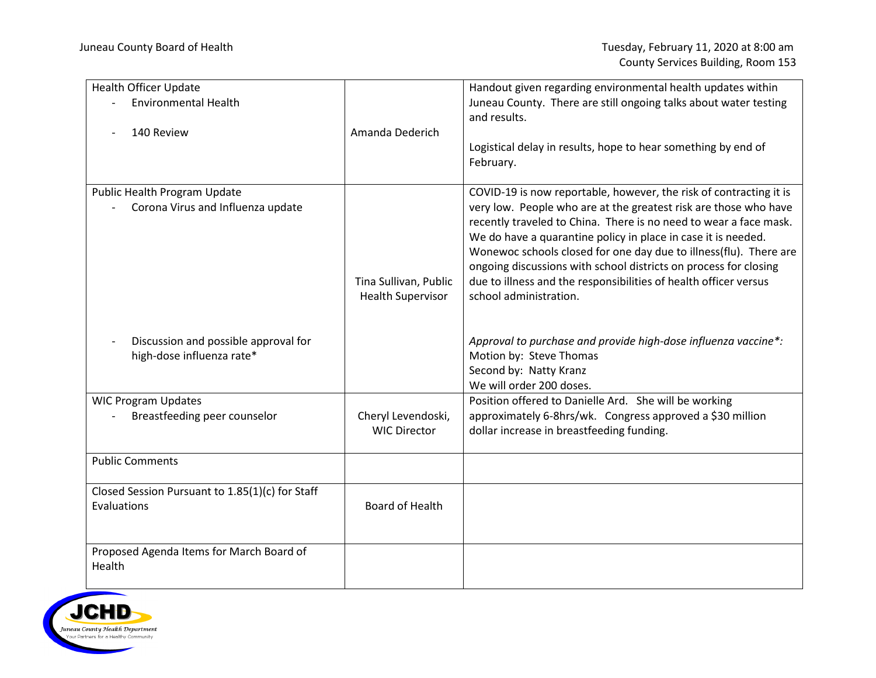| <b>Health Officer Update</b><br><b>Environmental Health</b><br>140 Review | Amanda Dederich                                   | Handout given regarding environmental health updates within<br>Juneau County. There are still ongoing talks about water testing<br>and results.<br>Logistical delay in results, hope to hear something by end of<br>February.                                                                                                                                                                                                                                                                                       |
|---------------------------------------------------------------------------|---------------------------------------------------|---------------------------------------------------------------------------------------------------------------------------------------------------------------------------------------------------------------------------------------------------------------------------------------------------------------------------------------------------------------------------------------------------------------------------------------------------------------------------------------------------------------------|
| Public Health Program Update<br>Corona Virus and Influenza update         | Tina Sullivan, Public<br><b>Health Supervisor</b> | COVID-19 is now reportable, however, the risk of contracting it is<br>very low. People who are at the greatest risk are those who have<br>recently traveled to China. There is no need to wear a face mask.<br>We do have a quarantine policy in place in case it is needed.<br>Wonewoc schools closed for one day due to illness(flu). There are<br>ongoing discussions with school districts on process for closing<br>due to illness and the responsibilities of health officer versus<br>school administration. |
| Discussion and possible approval for<br>high-dose influenza rate*         |                                                   | Approval to purchase and provide high-dose influenza vaccine*:<br>Motion by: Steve Thomas<br>Second by: Natty Kranz<br>We will order 200 doses.                                                                                                                                                                                                                                                                                                                                                                     |
| <b>WIC Program Updates</b><br>Breastfeeding peer counselor                | Cheryl Levendoski,<br><b>WIC Director</b>         | Position offered to Danielle Ard. She will be working<br>approximately 6-8hrs/wk. Congress approved a \$30 million<br>dollar increase in breastfeeding funding.                                                                                                                                                                                                                                                                                                                                                     |
| <b>Public Comments</b>                                                    |                                                   |                                                                                                                                                                                                                                                                                                                                                                                                                                                                                                                     |
| Closed Session Pursuant to 1.85(1)(c) for Staff<br>Evaluations            | Board of Health                                   |                                                                                                                                                                                                                                                                                                                                                                                                                                                                                                                     |
| Proposed Agenda Items for March Board of<br>Health                        |                                                   |                                                                                                                                                                                                                                                                                                                                                                                                                                                                                                                     |